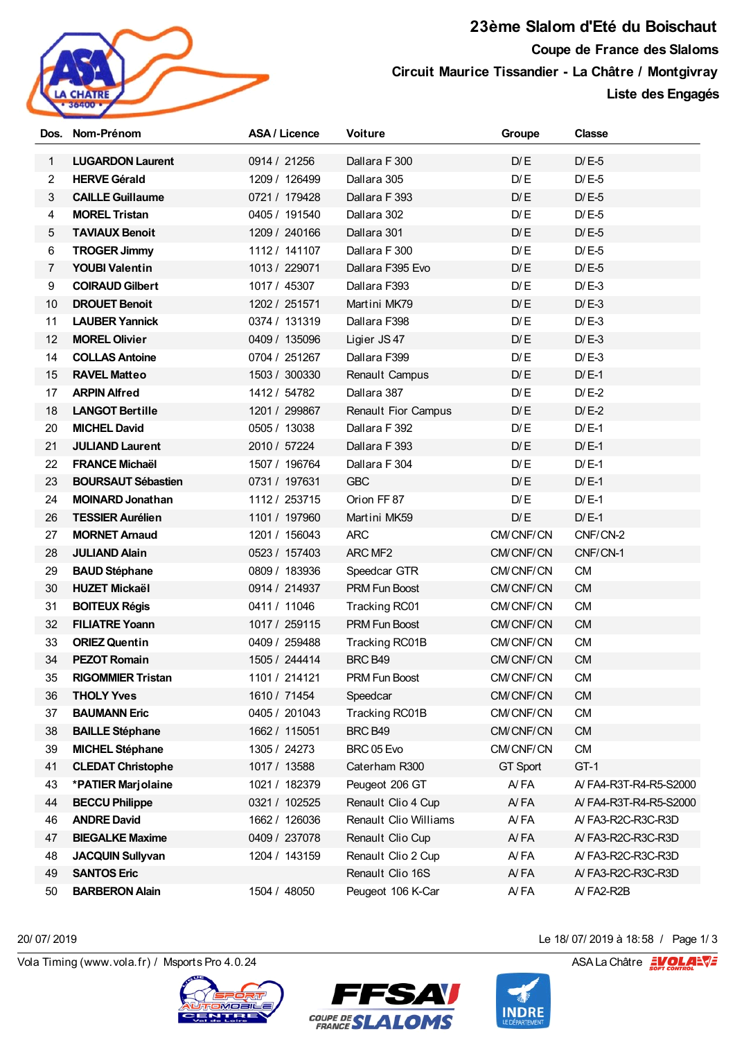

**23ème Slalom d'Eté du Boischaut Coupe de France des Slaloms Circuit Maurice Tissandier - La Châtre / Montgivray Liste des Engagés**

|                | Dos. Nom-Prénom           | <b>ASA / Licence</b> | <b>Voiture</b>             | Groupe          | <b>Classe</b>         |
|----------------|---------------------------|----------------------|----------------------------|-----------------|-----------------------|
| $\mathbf{1}$   | <b>LUGARDON Laurent</b>   | 0914 / 21256         | Dallara F 300              | D/E             | $D/E-5$               |
| $\overline{2}$ | <b>HERVE Gérald</b>       | 1209 / 126499        | Dallara 305                | D/E             | $D/E-5$               |
| 3              | <b>CAILLE Guillaume</b>   | 0721 / 179428        | Dallara F 393              | D/E             | $D/E-5$               |
| 4              | <b>MOREL Tristan</b>      | 0405 / 191540        | Dallara 302                | D/E             | $D/E-5$               |
| $\sqrt{5}$     | <b>TAVIAUX Benoit</b>     | 1209 / 240166        | Dallara 301                | D/E             | $D/E-5$               |
| 6              | <b>TROGER Jimmy</b>       | 1112 / 141107        | Dallara F 300              | D/E             | $D/E-5$               |
| 7              | <b>YOUBI Valentin</b>     | 1013 / 229071        | Dallara F395 Evo           | D/E             | $D/E-5$               |
| 9              | <b>COIRAUD Gilbert</b>    | 1017 / 45307         | Dallara F393               | D/E             | $D/E-3$               |
| 10             | <b>DROUET Benoit</b>      | 1202 / 251571        | Martini MK79               | D/E             | $D/E-3$               |
| 11             | <b>LAUBER Yannick</b>     | 0374 / 131319        | Dallara F398               | D/E             | $D/E-3$               |
| 12             | <b>MOREL Olivier</b>      | 0409 / 135096        | Ligier JS 47               | D/E             | $D/E-3$               |
| 14             | <b>COLLAS Antoine</b>     | 0704 / 251267        | Dallara F399               | D/E             | $D/E-3$               |
| 15             | <b>RAVEL Matteo</b>       | 1503 / 300330        | Renault Campus             | D/E             | $D/E-1$               |
| 17             | <b>ARPIN Alfred</b>       | 1412 / 54782         | Dallara 387                | D/E             | $D/E-2$               |
| 18             | <b>LANGOT Bertille</b>    | 1201 / 299867        | <b>Renault Fior Campus</b> | D/E             | $D/E-2$               |
| 20             | <b>MICHEL David</b>       | 0505 / 13038         | Dallara F 392              | D/E             | $D/E-1$               |
| 21             | <b>JULIAND Laurent</b>    | 2010 / 57224         | Dallara F 393              | D/E             | $D/E-1$               |
| 22             | <b>FRANCE Michaël</b>     | 1507 / 196764        | Dallara F 304              | D/E             | $D/E-1$               |
| 23             | <b>BOURSAUT Sébastien</b> | 0731 / 197631        | <b>GBC</b>                 | D/E             | $D/E-1$               |
| 24             | <b>MOINARD Jonathan</b>   | 1112 / 253715        | Orion FF 87                | D/E             | $D/E-1$               |
| 26             | <b>TESSIER Aurélien</b>   | 1101 / 197960        | Martini MK59               | D/E             | $D/E-1$               |
| 27             | <b>MORNET Arnaud</b>      | 1201 / 156043        | <b>ARC</b>                 | CM/CNF/CN       | CNF/CN-2              |
| 28             | <b>JULIAND Alain</b>      | 0523 / 157403        | ARC MF2                    | CM/CNF/CN       | CNF/CN-1              |
| 29             | <b>BAUD Stéphane</b>      | 0809 / 183936        | Speedcar GTR               | CM/CNF/CN       | <b>CM</b>             |
| 30             | <b>HUZET Mickaël</b>      | 0914 / 214937        | <b>PRM Fun Boost</b>       | CM/CNF/CN       | <b>CM</b>             |
| 31             | <b>BOITEUX Régis</b>      | 0411 / 11046         | Tracking RC01              | CM/CNF/CN       | <b>CM</b>             |
| 32             | <b>FILIATRE Yoann</b>     | 1017 / 259115        | <b>PRM Fun Boost</b>       | CM/CNF/CN       | <b>CM</b>             |
| 33             | <b>ORIEZ Quentin</b>      | 0409 / 259488        | Tracking RC01B             | CM/CNF/CN       | <b>CM</b>             |
| 34             | <b>PEZOT Romain</b>       | 1505 / 244414        | BRC B49                    | CM/CNF/CN       | CM                    |
| 35             | <b>RIGOMMIER Tristan</b>  | 1101/214121          | <b>PRM Fun Boost</b>       | CM/CNF/CN       | <b>CM</b>             |
| 36             | <b>THOLY Yves</b>         | 1610 / 71454         | Speedcar                   | CM/CNF/CN       | <b>CM</b>             |
| 37             | <b>BAUMANN Eric</b>       | 0405 / 201043        | Tracking RC01B             | CM/CNF/CN       | CM                    |
| 38             | <b>BAILLE Stéphane</b>    | 1662 / 115051        | BRC B49                    | CM/CNF/CN       | <b>CM</b>             |
| 39             | <b>MICHEL Stéphane</b>    | 1305 / 24273         | BRC 05 Evo                 | CM/CNF/CN       | <b>CM</b>             |
| 41             | <b>CLEDAT Christophe</b>  | 1017 / 13588         | Caterham R300              | <b>GT Sport</b> | $GT-1$                |
| 43             | *PATIER Marjolaine        | 1021 / 182379        | Peugeot 206 GT             | A/FA            | A/FA4-R3T-R4-R5-S2000 |
| 44             | <b>BECCU Philippe</b>     | 0321 / 102525        | Renault Clio 4 Cup         | AYFA            | A/FA4-R3T-R4-R5-S2000 |
| 46             | <b>ANDRE David</b>        | 1662 / 126036        | Renault Clio Williams      | A/FA            | A/FA3-R2C-R3C-R3D     |
| 47             | <b>BIEGALKE Maxime</b>    | 0409 / 237078        | Renault Clio Cup           | A/FA            | A/FA3-R2C-R3C-R3D     |
| 48             | <b>JACQUIN Sullyvan</b>   | 1204 / 143159        | Renault Clio 2 Cup         | A/FA            | A/FA3-R2C-R3C-R3D     |
| 49             | <b>SANTOS Eric</b>        |                      | Renault Clio 16S           | A/FA            | A/FA3-R2C-R3C-R3D     |
| 50             | <b>BARBERON Alain</b>     | 1504 / 48050         | Peugeot 106 K-Car          | A/FA            | $A$ FA2-R2B           |

20/ 07/ 2019 de 18/ 07/ 2019 de 18/ 07/ 2019 de 18/ 07/ 2019 de 18/ 07/ 2019 de 18/ 07/ 2019 de 18/ 07/ 2019 d<br>Vola Timing (www.vola.fr) / Msports Pro 4.0.24 ASA La Châtre and ASA La Châtre and ASA La Châtre and ASA La Châ





20/ 07/ 2019 Le 18/ 07/ 2019 à 18:58 / Page 1/ 3

**INDRE**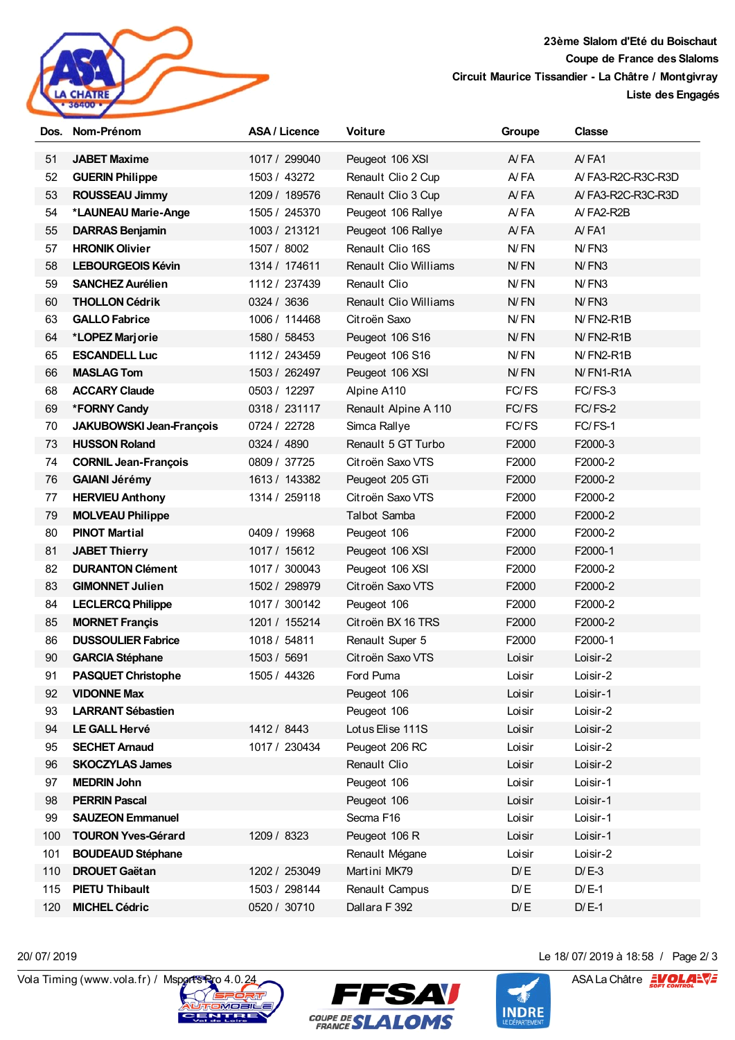

**23ème Slalom d'Eté du Boischaut Coupe de France des Slaloms Circuit Maurice Tissandier - La Châtre / Montgivray**

**Liste des Engagés**

|     | Dos. Nom-Prénom                 | ASA / Licence | <b>Voiture</b>               | Groupe | <b>Classe</b>     |
|-----|---------------------------------|---------------|------------------------------|--------|-------------------|
| 51  | <b>JABET Maxime</b>             | 1017 / 299040 | Peugeot 106 XSI              | A/FA   | AYFA1             |
| 52  | <b>GUERIN Philippe</b>          | 1503 / 43272  | Renault Clio 2 Cup           | A/FA   | A/FA3-R2C-R3C-R3D |
| 53  | <b>ROUSSEAU Jimmy</b>           | 1209 / 189576 | Renault Clio 3 Cup           | A/FA   | A/FA3-R2C-R3C-R3D |
| 54  | *LAUNEAU Marie-Ange             | 1505 / 245370 | Peugeot 106 Rallye           | A/FA   | A/FA2-R2B         |
| 55  | <b>DARRAS Benjamin</b>          | 1003 / 213121 | Peugeot 106 Rallye           | A/FA   | AYFA1             |
| 57  | <b>HRONIK Olivier</b>           | 1507 / 8002   | Renault Clio 16S             | N/FN   | $N$ FN3           |
| 58  | <b>LEBOURGEOIS Kévin</b>        | 1314 / 174611 | <b>Renault Clio Williams</b> | N/FN   | $N$ FN3           |
| 59  | <b>SANCHEZ Aurélien</b>         | 1112 / 237439 | Renault Clio                 | N/FN   | N/FN3             |
| 60  | <b>THOLLON Cédrik</b>           | 0324 / 3636   | Renault Clio Williams        | N/FN   | N/FN3             |
| 63  | <b>GALLO Fabrice</b>            | 1006 / 114468 | Citroën Saxo                 | N/FN   | N/FN2-R1B         |
| 64  | *LOPEZ Marjorie                 | 1580 / 58453  | Peugeot 106 S16              | N/FN   | $N$ FN2-R1B       |
| 65  | <b>ESCANDELL Luc</b>            | 1112 / 243459 | Peugeot 106 S16              | N/FN   | N/FN2-R1B         |
| 66  | <b>MASLAG Tom</b>               | 1503 / 262497 | Peugeot 106 XSI              | N/FN   | N/FN1-R1A         |
| 68  | <b>ACCARY Claude</b>            | 0503 / 12297  | Alpine A110                  | FC/FS  | FC/FS-3           |
| 69  | *FORNY Candy                    | 0318 / 231117 | Renault Alpine A 110         | FC/FS  | FC/FS-2           |
| 70  | <b>JAKUBOWSKI Jean-François</b> | 0724 / 22728  | Simca Rallye                 | FC/FS  | FC/FS-1           |
| 73  | <b>HUSSON Roland</b>            | 0324 / 4890   | Renault 5 GT Turbo           | F2000  | F2000-3           |
| 74  | <b>CORNIL Jean-François</b>     | 0809 / 37725  | Citroën Saxo VTS             | F2000  | F2000-2           |
| 76  | <b>GAIANI Jérémy</b>            | 1613 / 143382 | Peugeot 205 GTi              | F2000  | F2000-2           |
| 77  | <b>HERVIEU Anthony</b>          | 1314 / 259118 | Citroën Saxo VTS             | F2000  | F2000-2           |
| 79  | <b>MOLVEAU Philippe</b>         |               | <b>Talbot Samba</b>          | F2000  | F2000-2           |
| 80  | <b>PINOT Martial</b>            | 0409 / 19968  | Peugeot 106                  | F2000  | F2000-2           |
| 81  | <b>JABET Thierry</b>            | 1017 / 15612  | Peugeot 106 XSI              | F2000  | F2000-1           |
| 82  | <b>DURANTON Clément</b>         | 1017 / 300043 | Peugeot 106 XSI              | F2000  | F2000-2           |
| 83  | <b>GIMONNET Julien</b>          | 1502 / 298979 | Citroën Saxo VTS             | F2000  | F2000-2           |
| 84  | <b>LECLERCQ Philippe</b>        | 1017 / 300142 | Peugeot 106                  | F2000  | F2000-2           |
| 85  | <b>MORNET Françis</b>           | 1201 / 155214 | Citroën BX 16 TRS            | F2000  | F2000-2           |
| 86  | <b>DUSSOULIER Fabrice</b>       | 1018 / 54811  | Renault Super 5              | F2000  | F2000-1           |
| 90  | <b>GARCIA Stéphane</b>          | 1503 / 5691   | Citroën Saxo VTS             | Loisir | Loisir-2          |
| 91  | <b>PASQUET Christophe</b>       | 1505 / 44326  | Ford Puma                    | Loisir | Loisir-2          |
| 92  | <b>VIDONNE Max</b>              |               | Peugeot 106                  | Loisir | Loisir-1          |
| 93  | <b>LARRANT Sébastien</b>        |               | Peugeot 106                  | Loisir | Loisir-2          |
| 94  | <b>LE GALL Hervé</b>            | 1412 / 8443   | Lotus Elise 111S             | Loisir | Loisir-2          |
| 95  | <b>SECHET Arnaud</b>            | 1017 / 230434 | Peugeot 206 RC               | Loisir | Loisir-2          |
| 96  | <b>SKOCZYLAS James</b>          |               | Renault Clio                 | Loisir | Loisir-2          |
| 97  | <b>MEDRIN John</b>              |               | Peugeot 106                  | Loisir | Loisir-1          |
| 98  | <b>PERRIN Pascal</b>            |               | Peugeot 106                  | Loisir | Loisir-1          |
| 99  | <b>SAUZEON Emmanuel</b>         |               | Secma F16                    | Loisir | Loisir-1          |
| 100 | <b>TOURON Yves-Gérard</b>       | 1209 / 8323   | Peugeot 106 R                | Loisir | Loisir-1          |
| 101 | <b>BOUDEAUD Stéphane</b>        |               | Renault Mégane               | Loisir | Loisir-2          |
| 110 | <b>DROUET Gaëtan</b>            | 1202 / 253049 | Martini MK79                 | D/E    | $D/E-3$           |
| 115 | <b>PIETU Thibault</b>           | 1503 / 298144 | Renault Campus               | D/E    | $D/E-1$           |
| 120 | <b>MICHEL Cédric</b>            | 0520 / 30710  | Dallara F 392                | D/E    | $D/E-1$           |





20/ 07/ 2019 Le 18/ 07/ 2019 à 18:58 / Page 2/ 3

**INDRE**